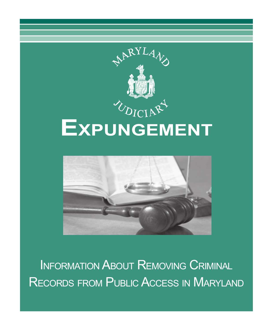



**INFORMATION ABOUT REMOVING CRIMINAL** Records from Public Access in Maryland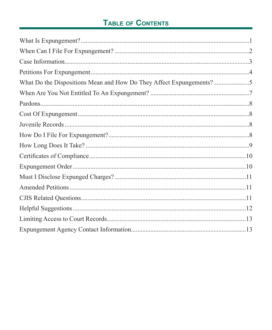# TABLE OF CONTENTS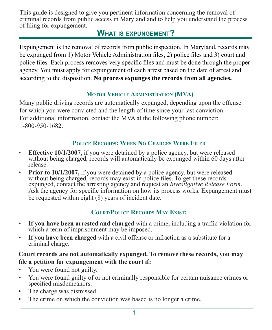This guide is designed to give you pertinent information concerning the removal of criminal records from public access in Maryland and to help you understand the process of filing for expungement.

## **What is expungement?**

Expungement is the removal of records from public inspection. In Maryland, records may be expunged from 1) Motor Vehicle Administration files, 2) police files and 3) court and police files. Each process removes very specific files and must be done through the proper agency. You must apply for expungement of each arrest based on the date of arrest and according to the disposition. **No process expunges the records from all agencies.**

### **MOTOR VEHICLE ADMINISTRATION (MVA)**

Many public driving records are automatically expunged, depending upon the offense for which you were convicted and the length of time since your last conviction. For additional information, contact the MVA at the following phone number: 1-800-950-1682.

### **Police Records: When No Charges Were Filed**

- **Effective 10/1/2007,** if you were detained by a police agency, but were released without being charged, records will automatically be expunged within 60 days after release.
- **Prior to 10/1/2007,** if you were detained by a police agency, but were released without being charged, records may exist in police files. To get these records expunged, contact the arresting agency and request an *Investi* Ask the agency for specific information on how its process works. Expungement must be requested within eight (8) years of incident date.

### **Court/Police Records May Exist:**

- **If you have been arrested and charged** with a crime, including a traffic violation for which a term of imprisonment may be imposed.
- **If you have been charged** with a civil offense or infraction as a substitute for a criminal charge.

#### **Court records are not automatically expunged. To remove these records, you may file a petition for expungement with the court if:**

- You were found not guilty.
- You were found guilty of or not criminally responsible for certain nuisance crimes or specified misdemeanors.
- The charge was dismissed.
- The crime on which the conviction was based is no longer a crime.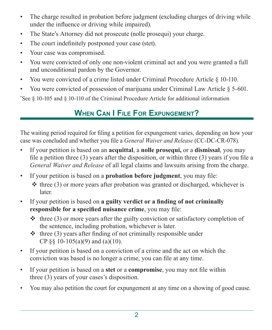- The charge resulted in probation before judgment (excluding charges of driving while under the influence or driving while impaired).
- The State's Attorney did not prosecute (nolle prosequi) your charge.
- The court indefinitely postponed your case (stet).
- Your case was compromised.
- You were convicted of only one non-violent criminal act and you were granted a full and unconditional pardon by the Governor.
- You were convicted of a crime listed under Criminal Procedure Article § 10-110.
- You were convicted of possession of marijuana under Criminal Law Article § 5-601.

\* See § 10-105 and § 10-110 of the Criminal Procedure Article for additional information

# **When Can I File For Expungement?**

The waiting period required for filing a petition for expungement varies, depending on how your case was concluded and whether you file a *General Waiver and Release* (CC-DC-CR-078).

- If your petition is based on an **acquittal**, a **nolle prosequi,** or a **dismissal**, you may file a petition three (3) years after the disposition, or within three (3) years if you file a *General Waiver and Release* of all legal claims and lawsuits arising from the charge.
- If your petition is based on a **probation before judgment**, you may file:  $\triangle$  three (3) or more years after probation was granted or discharged, whichever is later.
- If your petition is based on **a guilty verdict or a finding of not criminally responsible for a specified nuisance crime**, you may file:
	- $\triangleleft$  three (3) or more years after the guilty conviction or satisfactory completion of the sentence, including probation, whichever is later.
	- $\triangle$  three (3) years after finding of not criminally responsible under CP  $\S$ § 10-105(a)(9) and (a)(10).
- If your petition is based on a conviction of a crime and the act on which the conviction was based is no longer a crime, you can file at any time.
- If your petition is based on a **stet** or a **compromise**, you may not file within three (3) years of your cases's disposition.
- You may also petition the court for expungement at any time on a showing of good cause.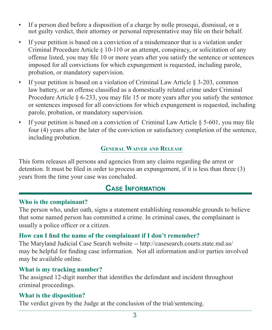- If a person died before a disposition of a charge by nolle prosequi, dismissal, or a not guilty verdict, their attorney or personal representative may file on their behalf.
- If your petition is based on a conviction of a misdemeanor that is a violation under Criminal Procedure Article § 10-110 or an attempt, conspiracy, or solicitation of any offense listed, you may file 10 or more years after you satisfy the sentence or sentences imposed for all convictions for which expungement is requested, including parole, probation, or mandatory supervision.
- If your petition is based on a violation of Criminal Law Article  $\S$  3-203, common law battery, or an offense classified as a domestically related crime under Criminal Procedure Article § 6-233, you may file 15 or more years after you satisfy the sentence or sentences imposed for all convictions for which expungement is requested, including parole, probation, or mandatory supervision.
- If your petition is based on a conviction of Criminal Law Article  $\S 5-601$ , you may file four (4) years after the later of the conviction or satisfactory completion of the sentence, including probation.

#### **General Waiver and Release**

This form releases all persons and agencies from any claims regarding the arrest or detention. It must be filed in order to process an expungement, if it is less than three (3) years from the time your case was concluded.

### **Case Information**

#### **Who is the complainant?**

The person who, under oath, signs a statement establishing reasonable grounds to believe that some named person has committed a crime. In criminal cases, the complainant is usually a police officer or a citizen.

#### **How can I find the name of the complainant if I don't remember?**

The Maryland Judicial Case Search website -- http://casesearch.courts.state.md.us/ may be helpful for finding case information. Not all information and/or parties involved may be available online.

#### **What is my tracking number?**

The assigned 12-digit number that identifies the defendant and incident throughout criminal proceedings.

#### **What is the disposition?**

The verdict given by the Judge at the conclusion of the trial/sentencing.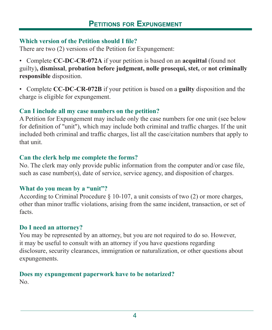### **Which version of the Petition should I file?**

There are two (2) versions of the Petition for Expungement:

• Complete **CC-DC-CR-072A** if your petition is based on an **acquittal** (found not guilty)**, dismissal**, **probation before judgment, nolle prosequi, stet,** or **not criminally responsible** disposition.

• Complete **CC-DC-CR-072B** if your petition is based on a **guilty** disposition and the charge is eligible for expungement.

### **Can I include all my case numbers on the petition?**

A Petition for Expungement may include only the case numbers for one unit (see below for definition of "unit"), which may include both criminal and traffic charges. If the unit included both criminal and traffic charges, list all the case/citation numbers that apply to that unit.

### **Can the clerk help me complete the forms?**

No. The clerk may only provide public information from the computer and/or case file, such as case number(s), date of service, service agency, and disposition of charges.

### **What do you mean by a "unit"?**

According to Criminal Procedure  $\S$  10-107, a unit consists of two (2) or more charges, other than minor traffic violations, arising from the same incident, transaction, or set of facts.

### **Do I need an attorney?**

You may be represented by an attorney, but you are not required to do so. However, it may be useful to consult with an attorney if you have questions regarding disclosure, security clearances, immigration or naturalization, or other questions about expungements.

### **Does my expungement paperwork have to be notarized?**

No.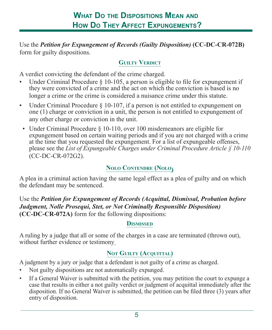Use the *Petition for Expungement of Records (Guilty Disposition)* **(CC-DC-CR-072B)**  form for guilty dispositions.

### **GUILTY VERDICT**

A verdict convicting the defendant of the crime charged.

- Under Criminal Procedure § 10-105, a person is eligible to file for expungement if they were convicted of a crime and the act on which the conviction is based is no longer a crime or the crime is considered a nuisance crime under this statute.
- Under Criminal Procedure § 10-107, if a person is not entitled to expungement on one (1) charge or conviction in a unit, the person is not entitled to expungement of any other charge or conviction in the unit.
- Under Criminal Procedure § 10-110, over 100 misdemeanors are eligible for expungement based on certain waiting periods and if you are not charged with a crime at the time that you requested the expungement. For a list of expungeable offenses, please see the *List of Expungeable Charges under Criminal Procedure Article § 10-110*  (CC-DC-CR-072G2).

### **Nolo Contendre (Nolo)**

A plea in a criminal action having the same legal effect as a plea of guilty and on which the defendant may be sentenced.

#### Use the *Petition for Expungement of Records (Acquittal, Dismissal, Probation before Judgment, Nolle Prosequi, Stet, or Not Criminally Responsible Disposition)*  **(CC-DC-CR-072A)** form for the following dispositions:

#### **Dismissed**

A ruling by a judge that all or some of the charges in a case are terminated (thrown out), without further evidence or testimony.

### **Not Guilty (Acquittal)**

A judgment by a jury or judge that a defendant is not guilty of a crime as charged.

- Not guilty dispositions are not automatically expunged.
- If a General Waiver is submitted with the petition, you may petition the court to expunge a case that results in either a not guilty verdict or judgment of acquittal immediately after the disposition. If no General Waiver is submitted, the petition can be filed three (3) years after entry of disposition.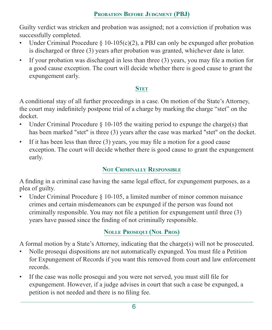### **Probation Before Judgment (PBJ)**

Guilty verdict was stricken and probation was assigned; not a conviction if probation was successfully completed.

- Under Criminal Procedure  $\S$  10-105(c)(2), a PBJ can only be expunged after probation is discharged or three (3) years after probation was granted, whichever date is later.
- If your probation was discharged in less than three (3) years, you may file a motion for a good cause exception. The court will decide whether there is good cause to grant the expungement early.

### **STET**

A conditional stay of all further proceedings in a case. On motion of the State's Attorney, the court may indefinitely postpone trial of a charge by marking the charge "stet" on the docket.

- Under Criminal Procedure § 10-105 the waiting period to expunge the charge(s) that has been marked "stet" is three (3) years after the case was marked "stet" on the docket.
- If it has been less than three (3) years, you may file a motion for a good cause exception. The court will decide whether there is good cause to grant the expungement early.

### **Not Criminally Responsible**

A finding in a criminal case having the same legal effect, for expungement purposes, as a plea of guilty.

Under Criminal Procedure  $\S$  10-105, a limited number of minor common nuisance crimes and certain misdemeanors can be expunged if the person was found not criminally responsible. You may not file a petition for expungement until three (3) years have passed since the finding of not criminally responsible.

### **Nolle Prosequi (Nol Pros)**

A formal motion by a State's Attorney, indicating that the charge(s) will not be prosecuted.

- Nolle prosequi dispositions are not automatically expunged. You must file a Petition for Expungement of Records if you want this removed from court and law enforcement records.
- If the case was nolle prosequi and you were not served, you must still file for expungement. However, if a judge advises in court that such a case be expunged, a petition is not needed and there is no filing fee.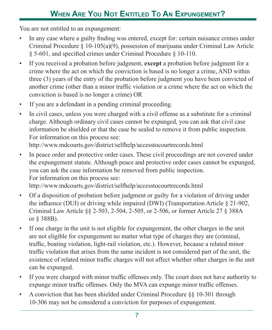# **When Are You Not Entitled To An Expungement?**

You are not entitled to an expungement:

- In any case where a guilty finding was entered, except for: certain nuisance crimes under Criminal Procedure  $\S$  10-105(a)(9), possession of marijuana under Criminal Law Article § 5-601, and specified crimes under Criminal Procedure § 10-110.
- If you received a probation before judgment, **except** a probation before judgment for a crime where the act on which the conviction is based is no longer a crime, AND within three (3) years of the entry of the probation before judgment you have been convicted of another crime (other than a minor traffic violation or a crime where the act on which the conviction is based is no longer a crime) OR
- If you are a defendant in a pending criminal proceeding.
- In civil cases, unless you were charged with a civil offense as a substitute for a criminal charge. Although ordinary civil cases cannot be expunged, you can ask that civil case information be shielded or that the case be sealed to remove it from public inspection. For information on this process see:

http://www.mdcourts.gov/district/selfhelp/accesstocourtrecords.html

• In peace order and protective order cases. These civil proceedings are not covered under the expungement statute. Although peace and protective order cases cannot be expunged, you can ask the case information be removed from public inspection. For information on this process see:

http://www.mdcourts.gov/district/selfhelp/accesstocourtrecords.html

- Of a disposition of probation before judgment or guilty for a violation of driving under the influence (DUI) or driving while impaired (DWI) (Transportation Article § 21-902, Criminal Law Article §§ 2-503, 2-504, 2-505, or 2-506, or former Article 27 § 388A or § 388B).
- If one charge in the unit is not eligible for expungement, the other charges in the unit are not eligible for expungement no matter what type of charges they are (criminal, traffic, boating violation, light-rail violation, etc.). However, because a related minor traffic violation that arises from the same incident is not considered part of the unit, the existence of related minor traffic charges will not affect whether other charges in the unit can be expunged.
- If you were charged with minor traffic offenses only. The court does not have authority to expunge minor traffic offenses. Only the MVA can expunge minor traffic offenses.
- A conviction that has been shielded under Criminal Procedure §§ 10-301 through 10-306 may not be considered a conviction for purposes of expungement.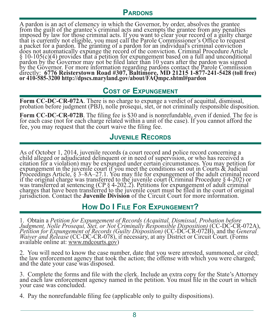### **PARDONS**

A pardon is an act of clemency in which the Governor, by order, absolves the grantee from the guilt of the grantee's criminal acts and exempts the grantee from any penalties imposed by law for those criminal acts. If you want to clear your record of a guilty charge that is currently not eligible, you must call the Parole Commissioner's Office to request a packet for a pardon. The granting of a pardon for an individual's criminal conviction does not automatically expunge the record of the conviction. Criminal Procedure Article § 10-105(c)(4) provides that a petition for expungement based on a full and unconditional pardon by the Governor may not be filed later than 10 years after the pardon was signed by the Governor. For more information regarding pardons contact the Parole Commission directly: **6776 Reisterstown Road #307, Baltimore, MD 21215 1-877-241-5428 (toll free) or 410-585-3200<http://dpscs.maryland.gov/about/FAQmpc.shtml#pardon>**

## **Cost of Expungement**

**Form CC-DC-CR-072A**. There is no charge to expunge a verdict of acquittal, dismissal, probation before judgment (PBJ), nolle prosequi, stet, or not criminally responsible disposition.

Form CC-DC-CR-072B. The filing fee is \$30 and is nonrefundable, even if denied. The fee is for each case (not for each charge related within a unit of the case). If you cannot afford the fee, you may request that the court

## **Juvenile Records**

As of October 1, 2014, juvenile records (a court record and police record concerning a child alleged or adjudicated delinquent or in need of supervision, or who has received a citation for a violation) may be expunged under certain circumstances. You may petition for expungement in the juvenile court if you meet the conditions set out in Courts & Judicial Proceedings Article, § 3–8A–27.1. You may file for expungement of the adult criminal record if the original charge was transferred to the juvenile court (Criminal Procedure § 4-202) or was transferred at sentencing (CP § 4-202.2). Petitions for expungement of adult criminal charges that have been transferred to the juvenile court must be filed in the court of original jurisdiction. Contact the **Juvenile Division** of the Circuit Court for more information.

## **How Do I File For Expungement?**

1. Obtain a *Petition for Expungement of Records (Acquittal, Dismissal, Probation before Judgment, Nolle Prosequi, Stet, or Not Criminally Responsible Disposition)* (CC-DC-CR-072A), *Petition for Expungement of Records (Guilty Disposition)* (CC-DC-CR-072B), and the *General Waiver and Release* (CC-DC-CR-078), if necessary, at any District or Circuit Court. (Forms available online at: www.mdcourts.gov)

2. You will need to know the case number, date that you were arrested, summoned, or cited; the law enforcement agency that took the action; the offense with which you were charged; and the date your case was disposed.

3. Complete the forms and file with the clerk. Include an extra copy for the State's Attorney and each law enforcement agency named in the petition. You must file in the court in which your case was concluded.

4. Pay the nonrefundable filing fee (applicable only to guilty dispositions).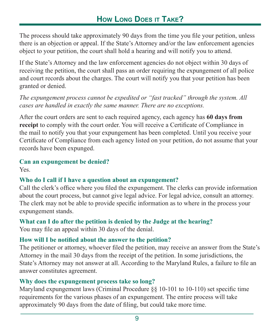# **How Long Does it Take?**

The process should take approximately 90 days from the time you file your petition, unless there is an objection or appeal. If the State's Attorney and/or the law enforcement agencies object to your petition, the court shall hold a hearing and will notify you to attend.

If the State's Attorney and the law enforcement agencies do not object within 30 days of receiving the petition, the court shall pass an order requiring the expungement of all police and court records about the charges. The court will notify you that your petition has been granted or denied.

*The expungement process cannot be expedited or "fast tracked" through the system. All cases are handled in exactly the same manner. There are no exceptions.*

After the court orders are sent to each required agency, each agency has **60 days from receipt** to comply with the court order. You will receive a Certificate of Compliance in the mail to notify you that your expungement has been completed. Until you receive your Certificate of Compliance from each agency listed on your petition, do not assume that your records have been expunged.

#### **Can an expungement be denied?** Yes.

### **Who do I call if I have a question about an expungement?**

Call the clerk's office where you filed the expungement. The clerks can provide information about the court process, but cannot give legal advice. For legal advice, consult an attorney. The clerk may not be able to provide specific information as to where in the process your expungement stands.

**What can I do after the petition is denied by the Judge at the hearing?**

You may file an appeal within 30 days of the denial.

### **How will I be notified about the answer to the petition?**

The petitioner or attorney, whoever filed the petition, may receive an answer from the State's Attorney in the mail 30 days from the receipt of the petition. In some jurisdictions, the State's Attorney may not answer at all. According to the Maryland Rules, a failure to file an answer constitutes agreement.

### **Why does the expungement process take so long?**

Maryland expungement laws (Criminal Procedure §§ 10-101 to 10-110) set specific time requirements for the various phases of an expungement. The entire process will take approximately 90 days from the date of filing, but could take more time.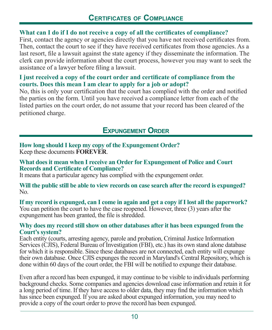#### **What can I do if I do not receive a copy of all the certificates of compliance?**

First, contact the agency or agencies directly that you have not received certificates from. Then, contact the court to see if they have received certificates from those agencies. As a last resort, file a lawsuit against the state agency if they disseminate the information. The clerk can provide information about the court process, however you may want to seek the assistance of a lawyer before filing a lawsuit.

#### **I just received a copy of the court order and certificate of compliance from the courts. Does this mean I am clear to apply for a job or adopt?**

No, this is only your certification that the court has complied with the order and notified the parties on the form. Until you have received a compliance letter from each of the listed parties on the court order, do not assume that your record has been cleared of the petitioned charge.

## **Expungement Order**

#### **How long should I keep my copy of the Expungement Order?** Keep these documents **FOREVER**.

#### **What does it mean when I receive an Order for Expungement of Police and Court Records and Certificate of Compliance?**

It means that a particular agency has complied with the expungement order.

#### **Will the public still be able to view records on case search after the record is expunged?** No.

**If my record is expunged, can I come in again and get a copy if I lost all the paperwork?** You can petition the court to have the case reopened. However, three (3) years after the expungement has been granted, the file is shredded.

#### **Why does my record still show on other databases after it has been expunged from the Court's system?**

Each entity (courts, arresting agency, parole and probation, Criminal Justice Information Services (CJIS), Federal Bureau of Investigation (FBI), etc.) has its own stand alone database for which it is responsible. Since these databases are not connected, each entity will expunge their own database. Once CJIS expunges the record in Maryland's Central Repository, which is done within 60 days of the court order, the FBI will be notified to expunge their database.

Even after a record has been expunged, it may continue to be visible to individuals performing background checks. Some companies and agencies download case information and retain it for a long period of time. If they have access to older data, they may find the information which has since been expunged. If you are asked about expunged information, you may need to provide a copy of the court order to prove the record has been expunged.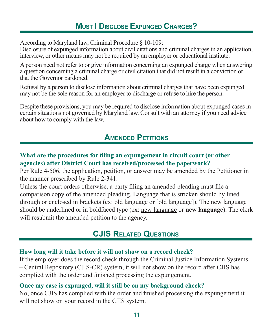According to Maryland law, Criminal Procedure § 10-109:

Disclosure of expunged information about civil citations and criminal charges in an application, interview, or other means may not be required by an employer or educational institute.

A person need not refer to or give information concerning an expunged charge when answering a question concerning a criminal charge or civil citation that did not result in a conviction or that the Governor pardoned.

Refusal by a person to disclose information about criminal charges that have been expunged may not be the sole reason for an employer to discharge or refuse to hire the person.

Despite these provisions, you may be required to disclose information about expunged cases in certain situations not governed by Maryland law. Consult with an attorney if you need advice about how to comply with the law.

# **Amended Petitions**

### **What are the procedures for filing an expungement in circuit court (or other agencies) after District Court has received/processed the paperwork?**

Per Rule 4-506, the application, petition, or answer may be amended by the Petitioner in the manner prescribed by Rule 2-341.

Unless the court orders otherwise, a party filing an amended pleading must file a comparison copy of the amended pleading. Language that is stricken should by lined through or enclosed in brackets (ex: old language or [old language]). The new language should be underlined or in boldfaced type (ex: new language or **new language**). The clerk will resubmit the amended petition to the agency.

# **CJIS Related Questions**

### **How long will it take before it will not show on a record check?**

If the employer does the record check through the Criminal Justice Information Systems – Central Repository (CJIS-CR) system, it will not show on the record after CJIS has complied with the order and finished processing the expungement.

### **Once my case is expunged, will it still be on my background check?**

No, once CJIS has complied with the order and finished processing the expungement it will not show on your record in the CJIS system.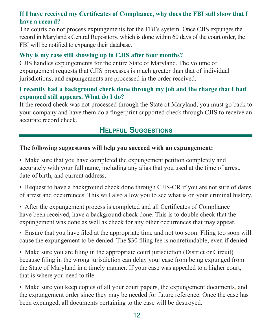### **If I have received my Certificates of Compliance, why does the FBI still show that I have a record?**

The courts do not process expungements for the FBI's system. Once CJIS expunges the record in Maryland's Central Repository, which is done within 60 days of the court order, the FBI will be notified to expunge their database.

### **Why is my case still showing up in CJIS after four months?**

CJIS handles expungements for the entire State of Maryland. The volume of expungement requests that CJIS processes is much greater than that of individual jurisdictions, and expungements are processed in the order received.

### **I recently had a background check done through my job and the charge that I had expunged still appears. What do I do?**

If the record check was not processed through the State of Maryland, you must go back to your company and have them do a fingerprint supported check through CJIS to receive an accurate record check.

# **Helpful Suggestions**

### **The following suggestions will help you succeed with an expungement:**

• Make sure that you have completed the expungement petition completely and accurately with your full name, including any alias that you used at the time of arrest, date of birth, and current address.

• Request to have a background check done through CJIS-CR if you are not sure of dates of arrest and occurrences. This will also allow you to see what is on your criminal history.

• After the expungement process is completed and all Certificates of Compliance have been received, have a background check done. This is to double check that the expungement was done as well as check for any other occurrences that may appear.

• Ensure that you have filed at the appropriate time and not too soon. Filing too soon will cause the expungement to be denied. The \$30 filing fee is nonrefundable, even if denied.

• Make sure you are filing in the appropriate court jurisdiction (District or Circuit) because filing in the wrong jurisdiction can delay your case from being expunged from the State of Maryland in a timely manner. If your case was appealed to a higher court, that is where you need to file.

• Make sure you keep copies of all your court papers, the expungement documents, and the expungement order since they may be needed for future reference. Once the case has been expunged, all documents pertaining to the case will be destroyed.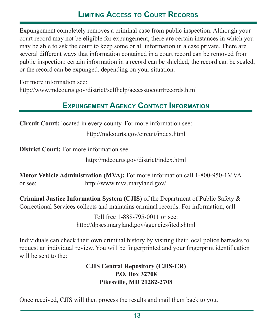## **Limiting Access to Court Records**

Expungement completely removes a criminal case from public inspection. Although your court record may not be eligible for expungement, there are certain instances in which you may be able to ask the court to keep some or all information in a case private. There are several different ways that information contained in a court record can be removed from public inspection: certain information in a record can be shielded, the record can be sealed, or the record can be expunged, depending on your situation.

For more information see: <http://www.mdcourts.gov/district/selfhelp/accesstocourtrecords.html>

## **ExpungEmEnt agEnCy ContaCt information**

**Circuit Court:** located in every county. For more information see:

http://mdcourts.gov/circuit/index.html

**District Court:** For more information see:

http://mdcourts.gov/district/index.html

**Motor Vehicle Administration (MVA):** For more information call 1-800-950-1MVA or see: http://www.mva.maryland.gov/

**Criminal Justice Information System (CJIS)** of the Department of Public Safety & Correctional Services collects and maintains criminal records. For information, call

> Toll free 1-888-795-0011 or see: http://dpscs.maryland.gov/agencies/itcd.shtml

Individuals can check their own criminal history by visiting their local police barracks to request an individual review. You will be fingerprinted and your fingerprint identification will be sent to the:

### **CJIS Central Repository (CJIS-CR) P.O. Box 32708 Pikesville, MD 21282-2708**

Once received, CJIS will then process the results and mail them back to you.